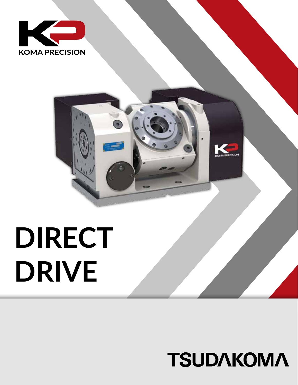



# **DIRECT DRIVE**

## **TSUDAKOMA**